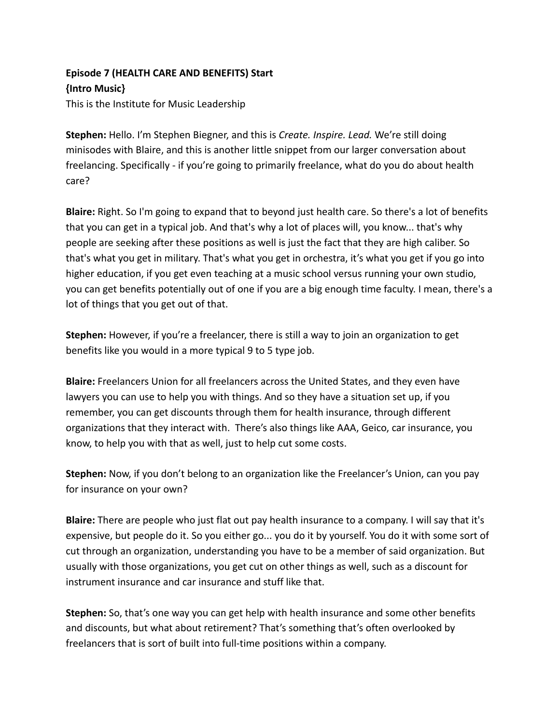## **Episode 7 (HEALTH CARE AND BENEFITS) Start {Intro Music}** This is the Institute for Music Leadership

**Stephen:** Hello. I'm Stephen Biegner, and this is *Create. Inspire. Lead.* We're still doing minisodes with Blaire, and this is another little snippet from our larger conversation about freelancing. Specifically - if you're going to primarily freelance, what do you do about health care?

**Blaire:** Right. So I'm going to expand that to beyond just health care. So there's a lot of benefits that you can get in a typical job. And that's why a lot of places will, you know... that's why people are seeking after these positions as well is just the fact that they are high caliber. So that's what you get in military. That's what you get in orchestra, it's what you get if you go into higher education, if you get even teaching at a music school versus running your own studio, you can get benefits potentially out of one if you are a big enough time faculty. I mean, there's a lot of things that you get out of that.

**Stephen:** However, if you're a freelancer, there is still a way to join an organization to get benefits like you would in a more typical 9 to 5 type job.

**Blaire:** Freelancers Union for all freelancers across the United States, and they even have lawyers you can use to help you with things. And so they have a situation set up, if you remember, you can get discounts through them for health insurance, through different organizations that they interact with. There's also things like AAA, Geico, car insurance, you know, to help you with that as well, just to help cut some costs.

**Stephen:** Now, if you don't belong to an organization like the Freelancer's Union, can you pay for insurance on your own?

**Blaire:** There are people who just flat out pay health insurance to a company. I will say that it's expensive, but people do it. So you either go... you do it by yourself. You do it with some sort of cut through an organization, understanding you have to be a member of said organization. But usually with those organizations, you get cut on other things as well, such as a discount for instrument insurance and car insurance and stuff like that.

**Stephen:** So, that's one way you can get help with health insurance and some other benefits and discounts, but what about retirement? That's something that's often overlooked by freelancers that is sort of built into full-time positions within a company.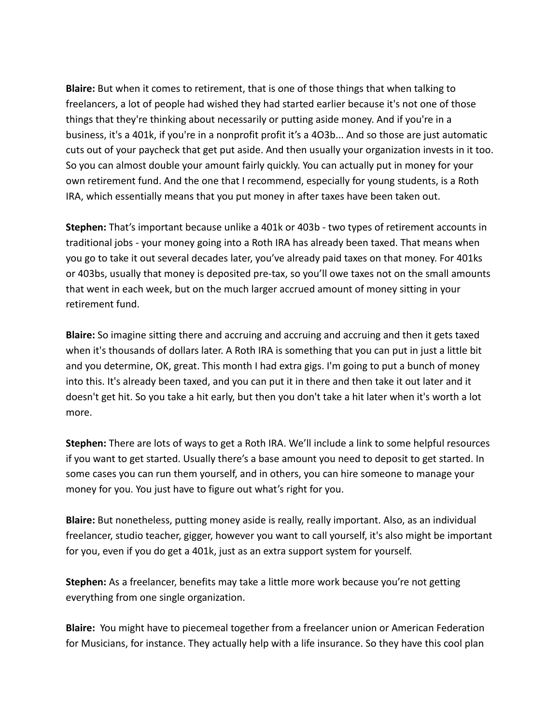**Blaire:** But when it comes to retirement, that is one of those things that when talking to freelancers, a lot of people had wished they had started earlier because it's not one of those things that they're thinking about necessarily or putting aside money. And if you're in a business, it's a 401k, if you're in a nonprofit profit it's a 4O3b... And so those are just automatic cuts out of your paycheck that get put aside. And then usually your organization invests in it too. So you can almost double your amount fairly quickly. You can actually put in money for your own retirement fund. And the one that I recommend, especially for young students, is a Roth IRA, which essentially means that you put money in after taxes have been taken out.

**Stephen:** That's important because unlike a 401k or 403b - two types of retirement accounts in traditional jobs - your money going into a Roth IRA has already been taxed. That means when you go to take it out several decades later, you've already paid taxes on that money. For 401ks or 403bs, usually that money is deposited pre-tax, so you'll owe taxes not on the small amounts that went in each week, but on the much larger accrued amount of money sitting in your retirement fund.

**Blaire:** So imagine sitting there and accruing and accruing and accruing and then it gets taxed when it's thousands of dollars later. A Roth IRA is something that you can put in just a little bit and you determine, OK, great. This month I had extra gigs. I'm going to put a bunch of money into this. It's already been taxed, and you can put it in there and then take it out later and it doesn't get hit. So you take a hit early, but then you don't take a hit later when it's worth a lot more.

**Stephen:** There are lots of ways to get a Roth IRA. We'll include a link to some helpful resources if you want to get started. Usually there's a base amount you need to deposit to get started. In some cases you can run them yourself, and in others, you can hire someone to manage your money for you. You just have to figure out what's right for you.

**Blaire:** But nonetheless, putting money aside is really, really important. Also, as an individual freelancer, studio teacher, gigger, however you want to call yourself, it's also might be important for you, even if you do get a 401k, just as an extra support system for yourself.

**Stephen:** As a freelancer, benefits may take a little more work because you're not getting everything from one single organization.

**Blaire:** You might have to piecemeal together from a freelancer union or American Federation for Musicians, for instance. They actually help with a life insurance. So they have this cool plan